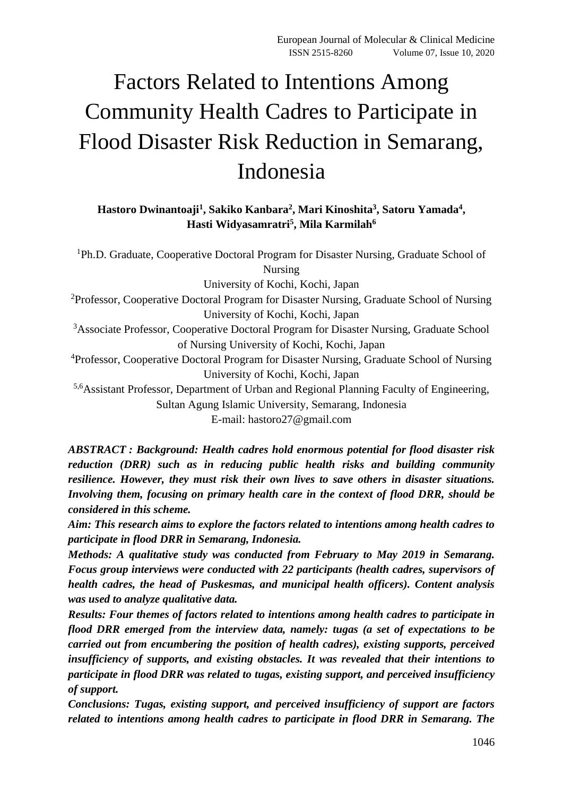# Factors Related to Intentions Among Community Health Cadres to Participate in Flood Disaster Risk Reduction in Semarang, Indonesia

# **Hastoro Dwinantoaji<sup>1</sup> , Sakiko Kanbara<sup>2</sup> , Mari Kinoshita<sup>3</sup> , Satoru Yamada<sup>4</sup> , Hasti Widyasamratri<sup>5</sup> , Mila Karmilah<sup>6</sup>**

<sup>1</sup>Ph.D. Graduate, Cooperative Doctoral Program for Disaster Nursing, Graduate School of Nursing University of Kochi, Kochi, Japan <sup>2</sup>Professor, Cooperative Doctoral Program for Disaster Nursing, Graduate School of Nursing University of Kochi, Kochi, Japan <sup>3</sup>Associate Professor, Cooperative Doctoral Program for Disaster Nursing, Graduate School of Nursing University of Kochi, Kochi, Japan <sup>4</sup>Professor, Cooperative Doctoral Program for Disaster Nursing, Graduate School of Nursing University of Kochi, Kochi, Japan 5,6Assistant Professor, Department of Urban and Regional Planning Faculty of Engineering, Sultan Agung Islamic University, Semarang, Indonesia E-mail: hastoro27@gmail.com

*ABSTRACT : Background: Health cadres hold enormous potential for flood disaster risk reduction (DRR) such as in reducing public health risks and building community resilience. However, they must risk their own lives to save others in disaster situations. Involving them, focusing on primary health care in the context of flood DRR, should be considered in this scheme.*

*Aim: This research aims to explore the factors related to intentions among health cadres to participate in flood DRR in Semarang, Indonesia.*

*Methods: A qualitative study was conducted from February to May 2019 in Semarang. Focus group interviews were conducted with 22 participants (health cadres, supervisors of health cadres, the head of Puskesmas, and municipal health officers). Content analysis was used to analyze qualitative data.*

*Results: Four themes of factors related to intentions among health cadres to participate in flood DRR emerged from the interview data, namely: tugas (a set of expectations to be carried out from encumbering the position of health cadres), existing supports, perceived insufficiency of supports, and existing obstacles. It was revealed that their intentions to participate in flood DRR was related to tugas, existing support, and perceived insufficiency of support.*

*Conclusions: Tugas, existing support, and perceived insufficiency of support are factors related to intentions among health cadres to participate in flood DRR in Semarang. The*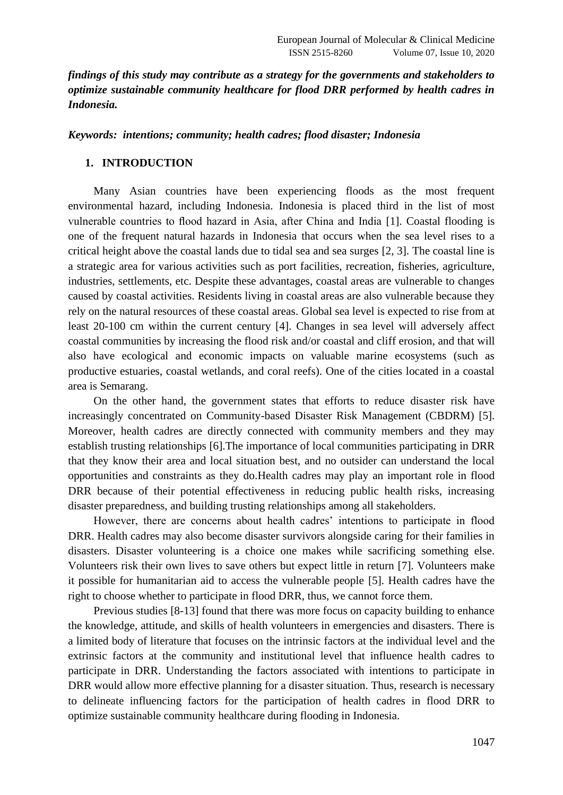*findings of this study may contribute as a strategy for the governments and stakeholders to optimize sustainable community healthcare for flood DRR performed by health cadres in Indonesia.*

*Keywords: intentions; community; health cadres; flood disaster; Indonesia*

## **1. INTRODUCTION**

Many Asian countries have been experiencing floods as the most frequent environmental hazard, including Indonesia. Indonesia is placed third in the list of most vulnerable countries to flood hazard in Asia, after China and India [1]. Coastal flooding is one of the frequent natural hazards in Indonesia that occurs when the sea level rises to a critical height above the coastal lands due to tidal sea and sea surges [2, 3]. The coastal line is a strategic area for various activities such as port facilities, recreation, fisheries, agriculture, industries, settlements, etc. Despite these advantages, coastal areas are vulnerable to changes caused by coastal activities. Residents living in coastal areas are also vulnerable because they rely on the natural resources of these coastal areas. Global sea level is expected to rise from at least 20-100 cm within the current century [4]. Changes in sea level will adversely affect coastal communities by increasing the flood risk and/or coastal and cliff erosion, and that will also have ecological and economic impacts on valuable marine ecosystems (such as productive estuaries, coastal wetlands, and coral reefs). One of the cities located in a coastal area is Semarang.

On the other hand, the government states that efforts to reduce disaster risk have increasingly concentrated on Community-based Disaster Risk Management (CBDRM) [5]. Moreover, health cadres are directly connected with community members and they may establish trusting relationships [6].The importance of local communities participating in DRR that they know their area and local situation best, and no outsider can understand the local opportunities and constraints as they do.Health cadres may play an important role in flood DRR because of their potential effectiveness in reducing public health risks, increasing disaster preparedness, and building trusting relationships among all stakeholders.

However, there are concerns about health cadres' intentions to participate in flood DRR. Health cadres may also become disaster survivors alongside caring for their families in disasters. Disaster volunteering is a choice one makes while sacrificing something else. Volunteers risk their own lives to save others but expect little in return [7]. Volunteers make it possible for humanitarian aid to access the vulnerable people [5]. Health cadres have the right to choose whether to participate in flood DRR, thus, we cannot force them.

Previous studies [8-13] found that there was more focus on capacity building to enhance the knowledge, attitude, and skills of health volunteers in emergencies and disasters. There is a limited body of literature that focuses on the intrinsic factors at the individual level and the extrinsic factors at the community and institutional level that influence health cadres to participate in DRR. Understanding the factors associated with intentions to participate in DRR would allow more effective planning for a disaster situation. Thus, research is necessary to delineate influencing factors for the participation of health cadres in flood DRR to optimize sustainable community healthcare during flooding in Indonesia.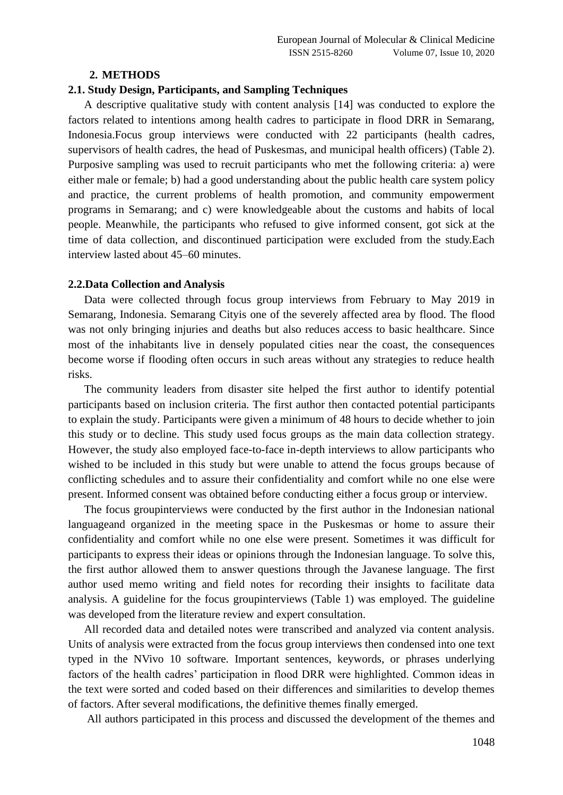#### **2. METHODS**

#### **2.1. Study Design, Participants, and Sampling Techniques**

A descriptive qualitative study with content analysis [14] was conducted to explore the factors related to intentions among health cadres to participate in flood DRR in Semarang, Indonesia.Focus group interviews were conducted with 22 participants (health cadres, supervisors of health cadres, the head of Puskesmas, and municipal health officers) (Table 2). Purposive sampling was used to recruit participants who met the following criteria: a) were either male or female; b) had a good understanding about the public health care system policy and practice, the current problems of health promotion, and community empowerment programs in Semarang; and c) were knowledgeable about the customs and habits of local people. Meanwhile, the participants who refused to give informed consent, got sick at the time of data collection, and discontinued participation were excluded from the study.Each interview lasted about 45–60 minutes.

#### **2.2.Data Collection and Analysis**

Data were collected through focus group interviews from February to May 2019 in Semarang, Indonesia. Semarang Cityis one of the severely affected area by flood. The flood was not only bringing injuries and deaths but also reduces access to basic healthcare. Since most of the inhabitants live in densely populated cities near the coast, the consequences become worse if flooding often occurs in such areas without any strategies to reduce health risks.

The community leaders from disaster site helped the first author to identify potential participants based on inclusion criteria. The first author then contacted potential participants to explain the study. Participants were given a minimum of 48 hours to decide whether to join this study or to decline. This study used focus groups as the main data collection strategy. However, the study also employed face-to-face in-depth interviews to allow participants who wished to be included in this study but were unable to attend the focus groups because of conflicting schedules and to assure their confidentiality and comfort while no one else were present. Informed consent was obtained before conducting either a focus group or interview.

The focus groupinterviews were conducted by the first author in the Indonesian national languageand organized in the meeting space in the Puskesmas or home to assure their confidentiality and comfort while no one else were present. Sometimes it was difficult for participants to express their ideas or opinions through the Indonesian language. To solve this, the first author allowed them to answer questions through the Javanese language. The first author used memo writing and field notes for recording their insights to facilitate data analysis. A guideline for the focus groupinterviews (Table 1) was employed. The guideline was developed from the literature review and expert consultation.

All recorded data and detailed notes were transcribed and analyzed via content analysis. Units of analysis were extracted from the focus group interviews then condensed into one text typed in the NVivo 10 software. Important sentences, keywords, or phrases underlying factors of the health cadres' participation in flood DRR were highlighted. Common ideas in the text were sorted and coded based on their differences and similarities to develop themes of factors. After several modifications, the definitive themes finally emerged.

All authors participated in this process and discussed the development of the themes and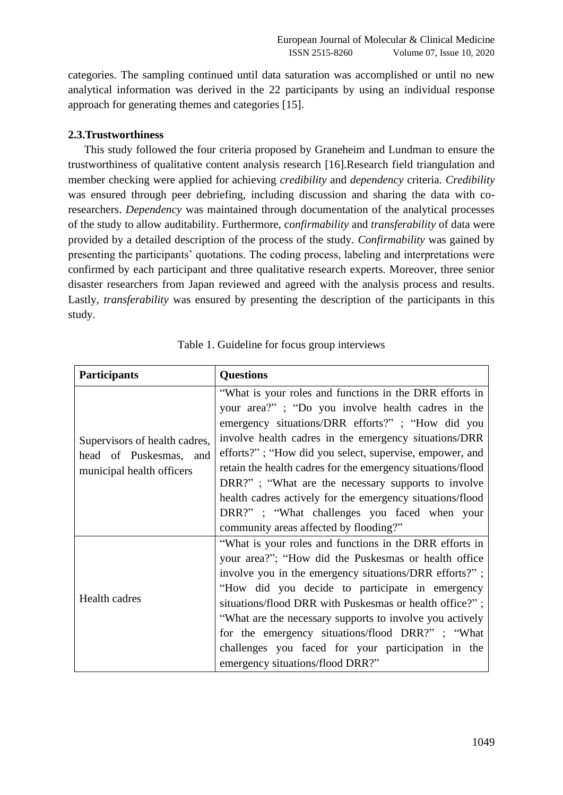categories. The sampling continued until data saturation was accomplished or until no new analytical information was derived in the 22 participants by using an individual response approach for generating themes and categories [15].

#### **2.3.Trustworthiness**

This study followed the four criteria proposed by Graneheim and Lundman to ensure the trustworthiness of qualitative content analysis research [16].Research field triangulation and member checking were applied for achieving *credibility* and *dependency* criteria. *Credibility* was ensured through peer debriefing, including discussion and sharing the data with coresearchers. *Dependency* was maintained through documentation of the analytical processes of the study to allow auditability. Furthermore, c*onfirmability* and *transferability* of data were provided by a detailed description of the process of the study. *Confirmability* was gained by presenting the participants' quotations. The coding process, labeling and interpretations were confirmed by each participant and three qualitative research experts. Moreover, three senior disaster researchers from Japan reviewed and agreed with the analysis process and results. Lastly, *transferability* was ensured by presenting the description of the participants in this study.

| <b>Participants</b>                                                                  | <b>Questions</b>                                                                                                                                                                                                                                                                                                                                                                                                                                                                                                                                                |  |  |
|--------------------------------------------------------------------------------------|-----------------------------------------------------------------------------------------------------------------------------------------------------------------------------------------------------------------------------------------------------------------------------------------------------------------------------------------------------------------------------------------------------------------------------------------------------------------------------------------------------------------------------------------------------------------|--|--|
| Supervisors of health cadres,<br>head of Puskesmas, and<br>municipal health officers | "What is your roles and functions in the DRR efforts in<br>your area?"; "Do you involve health cadres in the<br>emergency situations/DRR efforts?"; "How did you<br>involve health cadres in the emergency situations/DRR<br>efforts?"; "How did you select, supervise, empower, and<br>retain the health cadres for the emergency situations/flood<br>DRR?"; "What are the necessary supports to involve<br>health cadres actively for the emergency situations/flood<br>DRR?"; "What challenges you faced when your<br>community areas affected by flooding?" |  |  |
| Health cadres                                                                        | "What is your roles and functions in the DRR efforts in<br>your area?"; "How did the Puskesmas or health office<br>involve you in the emergency situations/DRR efforts?";<br>"How did you decide to participate in emergency<br>situations/flood DRR with Puskesmas or health office?";<br>"What are the necessary supports to involve you actively<br>for the emergency situations/flood DRR?"; "What<br>challenges you faced for your participation in the<br>emergency situations/flood DRR?"                                                                |  |  |

|  |  | Table 1. Guideline for focus group interviews |
|--|--|-----------------------------------------------|
|  |  |                                               |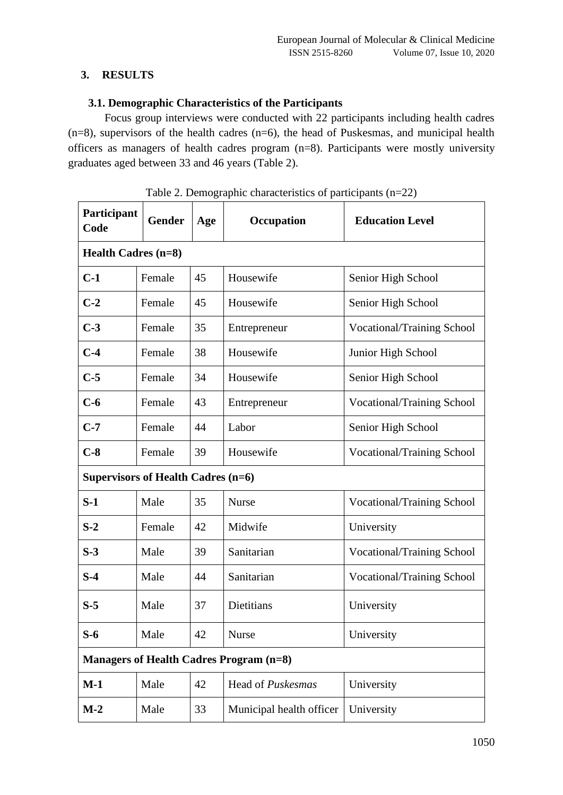# **3. RESULTS**

# **3.1. Demographic Characteristics of the Participants**

Focus group interviews were conducted with 22 participants including health cadres  $(n=8)$ , supervisors of the health cadres  $(n=6)$ , the head of Puskesmas, and municipal health officers as managers of health cadres program (n=8). Participants were mostly university graduates aged between 33 and 46 years (Table 2).

| Participant<br>Code                            | <b>Gender</b>              | Age | Occupation               | <b>Education Level</b>            |  |  |
|------------------------------------------------|----------------------------|-----|--------------------------|-----------------------------------|--|--|
|                                                | <b>Health Cadres (n=8)</b> |     |                          |                                   |  |  |
| $C-1$                                          | Female                     | 45  | Housewife                | Senior High School                |  |  |
| $C-2$                                          | Female                     | 45  | Housewife                | Senior High School                |  |  |
| $C-3$                                          | Female                     | 35  | Entrepreneur             | Vocational/Training School        |  |  |
| $C-4$                                          | Female                     | 38  | Housewife                | Junior High School                |  |  |
| $C-5$                                          | Female                     | 34  | Housewife                | Senior High School                |  |  |
| $C-6$                                          | Female                     | 43  | Entrepreneur             | Vocational/Training School        |  |  |
| $C-7$                                          | Female                     | 44  | Labor                    | Senior High School                |  |  |
| $C-8$                                          | Female                     | 39  | Housewife                | <b>Vocational/Training School</b> |  |  |
| Supervisors of Health Cadres (n=6)             |                            |     |                          |                                   |  |  |
| $S-1$                                          | Male                       | 35  | <b>Nurse</b>             | <b>Vocational/Training School</b> |  |  |
| $S-2$                                          | Female                     | 42  | Midwife                  | University                        |  |  |
| $S-3$                                          | Male                       | 39  | Sanitarian               | Vocational/Training School        |  |  |
| $S-4$                                          | Male                       | 44  | Sanitarian               | <b>Vocational/Training School</b> |  |  |
| $S-5$                                          | Male                       | 37  | Dietitians               | University                        |  |  |
| $S-6$                                          | Male                       | 42  | <b>Nurse</b>             | University                        |  |  |
| <b>Managers of Health Cadres Program (n=8)</b> |                            |     |                          |                                   |  |  |
| $M-1$                                          | Male                       | 42  | Head of Puskesmas        | University                        |  |  |
| $M-2$                                          | Male                       | 33  | Municipal health officer | University                        |  |  |

| Table 2. Demographic characteristics of participants (n=22) |  |  |
|-------------------------------------------------------------|--|--|
|                                                             |  |  |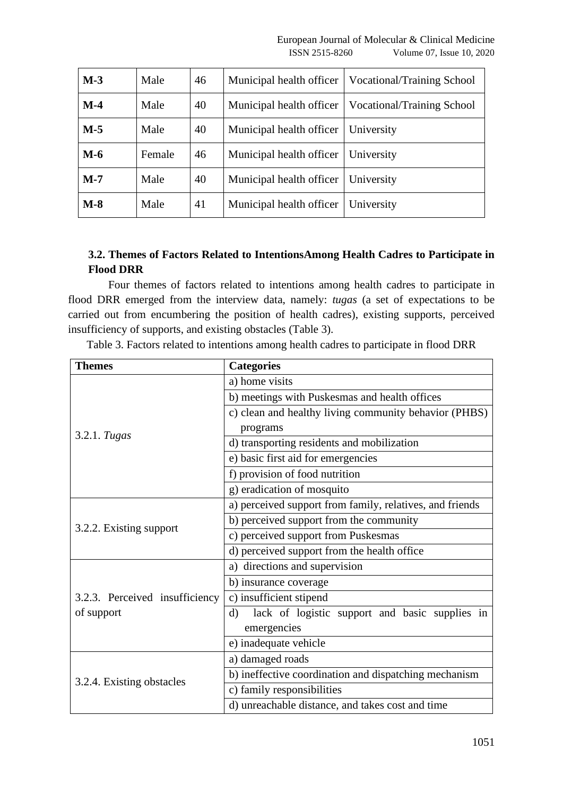| $M-3$ | Male   | 46 | Municipal health officer | Vocational/Training School |
|-------|--------|----|--------------------------|----------------------------|
| $M-4$ | Male   | 40 | Municipal health officer | Vocational/Training School |
| $M-5$ | Male   | 40 | Municipal health officer | University                 |
| $M-6$ | Female | 46 | Municipal health officer | University                 |
| $M-7$ | Male   | 40 | Municipal health officer | University                 |
| $M-8$ | Male   | 41 | Municipal health officer | University                 |

# **3.2. Themes of Factors Related to IntentionsAmong Health Cadres to Participate in Flood DRR**

Four themes of factors related to intentions among health cadres to participate in flood DRR emerged from the interview data, namely: *tugas* (a set of expectations to be carried out from encumbering the position of health cadres), existing supports, perceived insufficiency of supports, and existing obstacles (Table 3).

Table 3. Factors related to intentions among health cadres to participate in flood DRR

| <b>Themes</b>                  | <b>Categories</b>                                        |  |  |
|--------------------------------|----------------------------------------------------------|--|--|
|                                | a) home visits                                           |  |  |
|                                | b) meetings with Puskesmas and health offices            |  |  |
|                                | c) clean and healthy living community behavior (PHBS)    |  |  |
| 3.2.1. Tugas                   | programs                                                 |  |  |
|                                | d) transporting residents and mobilization               |  |  |
|                                | e) basic first aid for emergencies                       |  |  |
|                                | f) provision of food nutrition                           |  |  |
|                                | g) eradication of mosquito                               |  |  |
|                                | a) perceived support from family, relatives, and friends |  |  |
| 3.2.2. Existing support        | b) perceived support from the community                  |  |  |
|                                | c) perceived support from Puskesmas                      |  |  |
|                                | d) perceived support from the health office              |  |  |
|                                | a) directions and supervision                            |  |  |
|                                | b) insurance coverage                                    |  |  |
| 3.2.3. Perceived insufficiency | c) insufficient stipend                                  |  |  |
| of support                     | lack of logistic support and basic supplies in<br>d)     |  |  |
|                                | emergencies                                              |  |  |
|                                | e) inadequate vehicle                                    |  |  |
| 3.2.4. Existing obstacles      | a) damaged roads                                         |  |  |
|                                | b) ineffective coordination and dispatching mechanism    |  |  |
|                                | c) family responsibilities                               |  |  |
|                                | d) unreachable distance, and takes cost and time         |  |  |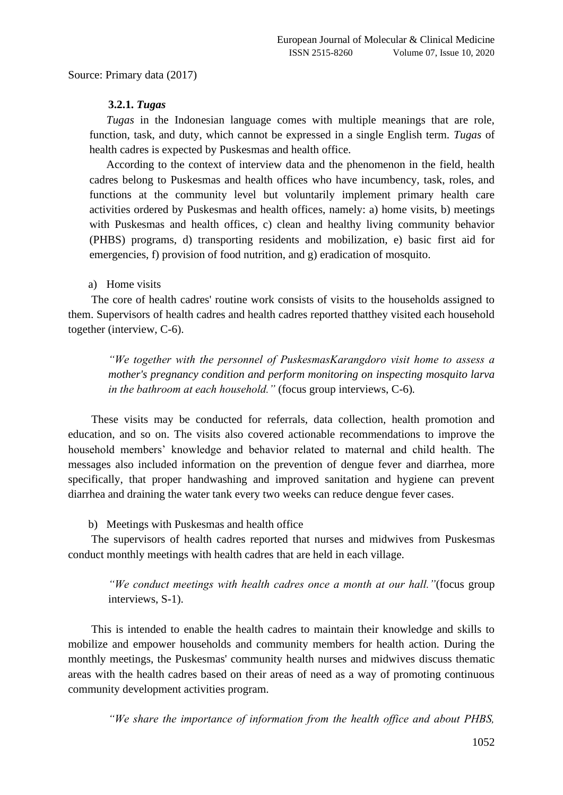Source: Primary data (2017)

### **3.2.1.** *Tugas*

*Tugas* in the Indonesian language comes with multiple meanings that are role, function, task, and duty, which cannot be expressed in a single English term. *Tugas* of health cadres is expected by Puskesmas and health office.

According to the context of interview data and the phenomenon in the field, health cadres belong to Puskesmas and health offices who have incumbency, task, roles, and functions at the community level but voluntarily implement primary health care activities ordered by Puskesmas and health offices, namely: a) home visits, b) meetings with Puskesmas and health offices, c) clean and healthy living community behavior (PHBS) programs, d) transporting residents and mobilization, e) basic first aid for emergencies, f) provision of food nutrition, and g) eradication of mosquito.

# a) Home visits

The core of health cadres' routine work consists of visits to the households assigned to them. Supervisors of health cadres and health cadres reported thatthey visited each household together (interview, C-6).

*"We together with the personnel of PuskesmasKarangdoro visit home to assess a mother's pregnancy condition and perform monitoring on inspecting mosquito larva in the bathroom at each household."* (focus group interviews, C-6)*.*

These visits may be conducted for referrals, data collection, health promotion and education, and so on. The visits also covered actionable recommendations to improve the household members' knowledge and behavior related to maternal and child health. The messages also included information on the prevention of dengue fever and diarrhea, more specifically, that proper handwashing and improved sanitation and hygiene can prevent diarrhea and draining the water tank every two weeks can reduce dengue fever cases.

#### b) Meetings with Puskesmas and health office

The supervisors of health cadres reported that nurses and midwives from Puskesmas conduct monthly meetings with health cadres that are held in each village.

*"We conduct meetings with health cadres once a month at our hall."*(focus group interviews, S-1).

This is intended to enable the health cadres to maintain their knowledge and skills to mobilize and empower households and community members for health action. During the monthly meetings, the Puskesmas' community health nurses and midwives discuss thematic areas with the health cadres based on their areas of need as a way of promoting continuous community development activities program.

*"We share the importance of information from the health office and about PHBS,*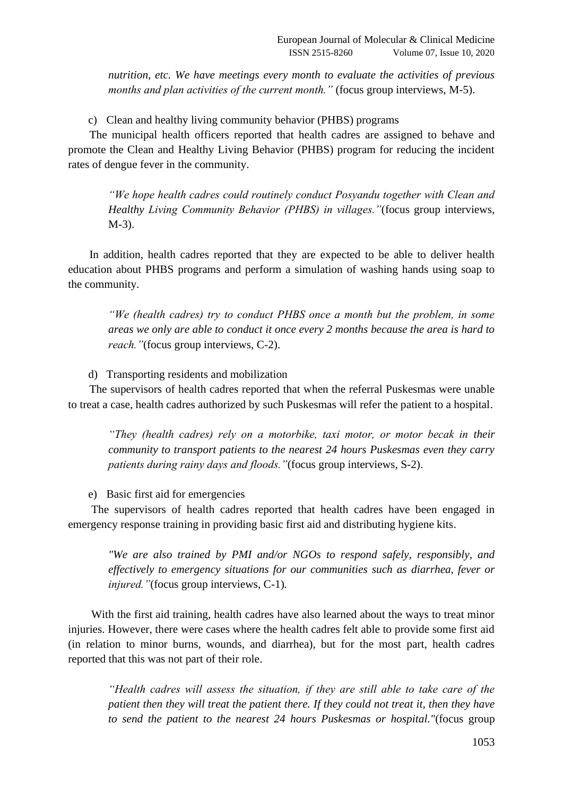*nutrition, etc. We have meetings every month to evaluate the activities of previous months and plan activities of the current month.*" (focus group interviews, M-5).

c) Clean and healthy living community behavior (PHBS) programs

The municipal health officers reported that health cadres are assigned to behave and promote the Clean and Healthy Living Behavior (PHBS) program for reducing the incident rates of dengue fever in the community.

*"We hope health cadres could routinely conduct Posyandu together with Clean and Healthy Living Community Behavior (PHBS) in villages."*(focus group interviews, M-3).

In addition, health cadres reported that they are expected to be able to deliver health education about PHBS programs and perform a simulation of washing hands using soap to the community.

*"We (health cadres) try to conduct PHBS once a month but the problem, in some areas we only are able to conduct it once every 2 months because the area is hard to reach."*(focus group interviews, C-2).

d) Transporting residents and mobilization

The supervisors of health cadres reported that when the referral Puskesmas were unable to treat a case, health cadres authorized by such Puskesmas will refer the patient to a hospital.

*"They (health cadres) rely on a motorbike, taxi motor, or motor becak in their community to transport patients to the nearest 24 hours Puskesmas even they carry patients during rainy days and floods."*(focus group interviews, S-2).

e) Basic first aid for emergencies

The supervisors of health cadres reported that health cadres have been engaged in emergency response training in providing basic first aid and distributing hygiene kits.

*"We are also trained by PMI and/or NGOs to respond safely, responsibly, and effectively to emergency situations for our communities such as diarrhea, fever or injured."*(focus group interviews, C-1)*.*

With the first aid training, health cadres have also learned about the ways to treat minor injuries. However, there were cases where the health cadres felt able to provide some first aid (in relation to minor burns, wounds, and diarrhea), but for the most part, health cadres reported that this was not part of their role.

*"Health cadres will assess the situation, if they are still able to take care of the patient then they will treat the patient there. If they could not treat it, then they have to send the patient to the nearest 24 hours Puskesmas or hospital."*(focus group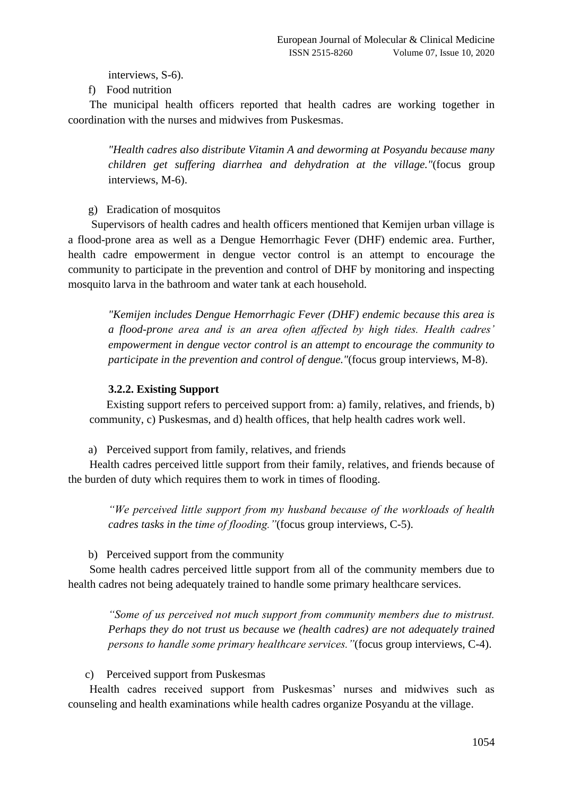interviews, S-6).

f) Food nutrition

The municipal health officers reported that health cadres are working together in coordination with the nurses and midwives from Puskesmas.

*"Health cadres also distribute Vitamin A and deworming at Posyandu because many children get suffering diarrhea and dehydration at the village."*(focus group interviews, M-6).

g) Eradication of mosquitos

Supervisors of health cadres and health officers mentioned that Kemijen urban village is a flood-prone area as well as a Dengue Hemorrhagic Fever (DHF) endemic area. Further, health cadre empowerment in dengue vector control is an attempt to encourage the community to participate in the prevention and control of DHF by monitoring and inspecting mosquito larva in the bathroom and water tank at each household.

*"Kemijen includes Dengue Hemorrhagic Fever (DHF) endemic because this area is a flood-prone area and is an area often affected by high tides. Health cadres' empowerment in dengue vector control is an attempt to encourage the community to participate in the prevention and control of dengue."*(focus group interviews, M-8).

# **3.2.2. Existing Support**

Existing support refers to perceived support from: a) family, relatives, and friends, b) community, c) Puskesmas, and d) health offices, that help health cadres work well.

a) Perceived support from family, relatives, and friends

Health cadres perceived little support from their family, relatives, and friends because of the burden of duty which requires them to work in times of flooding.

*"We perceived little support from my husband because of the workloads of health cadres tasks in the time of flooding."*(focus group interviews, C-5).

b) Perceived support from the community

Some health cadres perceived little support from all of the community members due to health cadres not being adequately trained to handle some primary healthcare services.

*"Some of us perceived not much support from community members due to mistrust. Perhaps they do not trust us because we (health cadres) are not adequately trained persons to handle some primary healthcare services."*(focus group interviews, C-4).

## c) Perceived support from Puskesmas

Health cadres received support from Puskesmas' nurses and midwives such as counseling and health examinations while health cadres organize Posyandu at the village.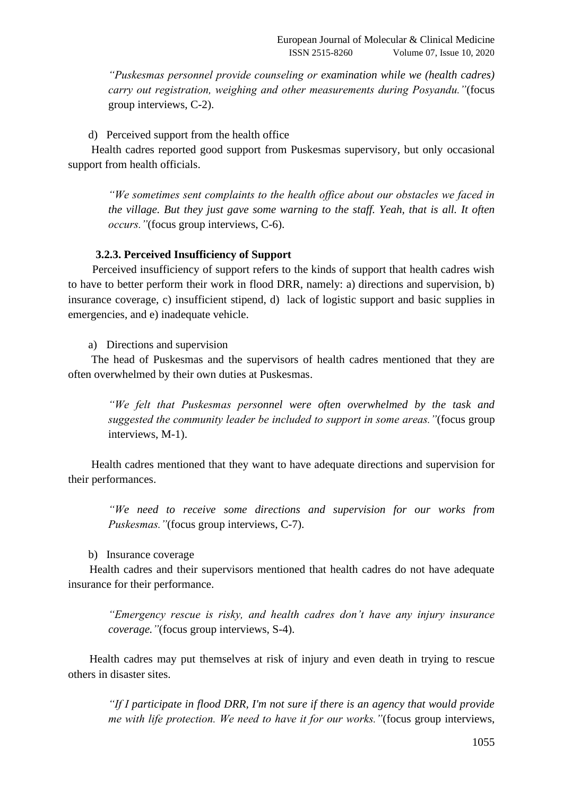*"Puskesmas personnel provide counseling or examination while we (health cadres) carry out registration, weighing and other measurements during Posyandu."*(focus group interviews, C-2).

d) Perceived support from the health office

Health cadres reported good support from Puskesmas supervisory, but only occasional support from health officials.

*"We sometimes sent complaints to the health office about our obstacles we faced in the village. But they just gave some warning to the staff. Yeah, that is all. It often occurs."*(focus group interviews, C-6).

## **3.2.3. Perceived Insufficiency of Support**

Perceived insufficiency of support refers to the kinds of support that health cadres wish to have to better perform their work in flood DRR, namely: a) directions and supervision, b) insurance coverage, c) insufficient stipend, d) lack of logistic support and basic supplies in emergencies, and e) inadequate vehicle.

a) Directions and supervision

The head of Puskesmas and the supervisors of health cadres mentioned that they are often overwhelmed by their own duties at Puskesmas.

*"We felt that Puskesmas personnel were often overwhelmed by the task and suggested the community leader be included to support in some areas."*(focus group interviews, M-1).

Health cadres mentioned that they want to have adequate directions and supervision for their performances.

*"We need to receive some directions and supervision for our works from Puskesmas."*(focus group interviews, C-7).

#### b) Insurance coverage

Health cadres and their supervisors mentioned that health cadres do not have adequate insurance for their performance.

*"Emergency rescue is risky, and health cadres don't have any injury insurance coverage."*(focus group interviews, S-4).

Health cadres may put themselves at risk of injury and even death in trying to rescue others in disaster sites.

*"If I participate in flood DRR, I'm not sure if there is an agency that would provide me with life protection. We need to have it for our works."*(focus group interviews,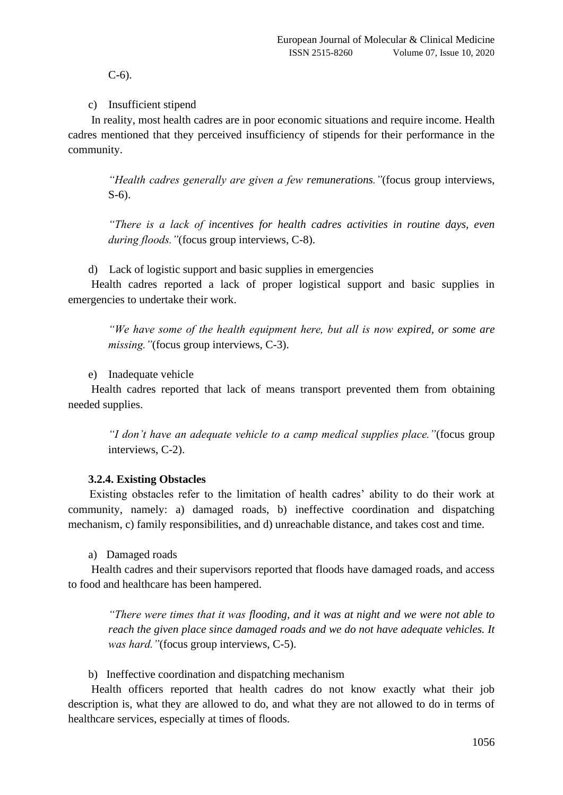C-6).

c) Insufficient stipend

In reality, most health cadres are in poor economic situations and require income. Health cadres mentioned that they perceived insufficiency of stipends for their performance in the community.

*"Health cadres generally are given a few remunerations."*(focus group interviews, S-6).

*"There is a lack of incentives for health cadres activities in routine days, even during floods."*(focus group interviews, C-8).

d) Lack of logistic support and basic supplies in emergencies

Health cadres reported a lack of proper logistical support and basic supplies in emergencies to undertake their work.

*"We have some of the health equipment here, but all is now expired, or some are missing."*(focus group interviews, C-3).

e) Inadequate vehicle

Health cadres reported that lack of means transport prevented them from obtaining needed supplies.

*"I don't have an adequate vehicle to a camp medical supplies place."*(focus group interviews, C-2).

## **3.2.4. Existing Obstacles**

Existing obstacles refer to the limitation of health cadres' ability to do their work at community, namely: a) damaged roads, b) ineffective coordination and dispatching mechanism, c) family responsibilities, and d) unreachable distance, and takes cost and time.

a) Damaged roads

Health cadres and their supervisors reported that floods have damaged roads, and access to food and healthcare has been hampered.

*"There were times that it was flooding, and it was at night and we were not able to reach the given place since damaged roads and we do not have adequate vehicles. It was hard."*(focus group interviews, C-5).

b) Ineffective coordination and dispatching mechanism

Health officers reported that health cadres do not know exactly what their job description is, what they are allowed to do, and what they are not allowed to do in terms of healthcare services, especially at times of floods.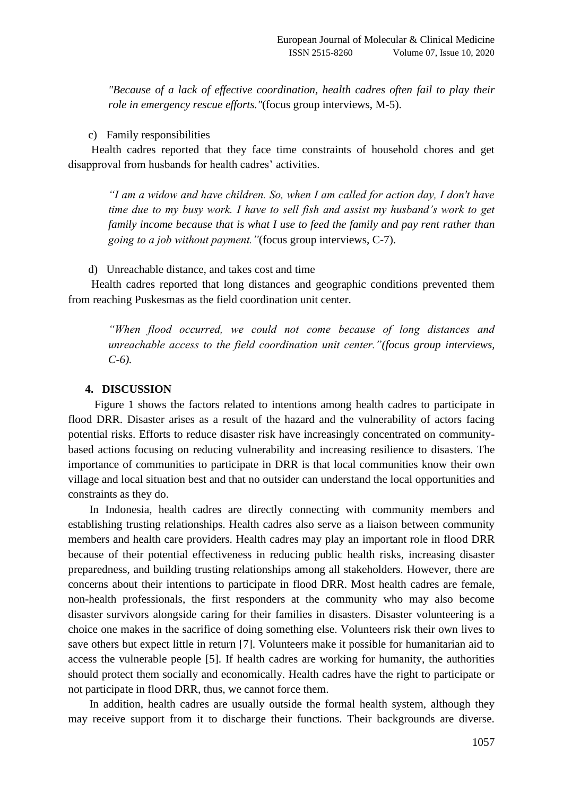*"Because of a lack of effective coordination, health cadres often fail to play their role in emergency rescue efforts."*(focus group interviews, M-5).

## c) Family responsibilities

Health cadres reported that they face time constraints of household chores and get disapproval from husbands for health cadres' activities.

*"I am a widow and have children. So, when I am called for action day, I don't have time due to my busy work. I have to sell fish and assist my husband's work to get family income because that is what I use to feed the family and pay rent rather than going to a job without payment."*(focus group interviews, C-7).

d) Unreachable distance, and takes cost and time

Health cadres reported that long distances and geographic conditions prevented them from reaching Puskesmas as the field coordination unit center.

*"When flood occurred, we could not come because of long distances and unreachable access to the field coordination unit center."(focus group interviews, C-6).* 

## **4. DISCUSSION**

Figure 1 shows the factors related to intentions among health cadres to participate in flood DRR. Disaster arises as a result of the hazard and the vulnerability of actors facing potential risks. Efforts to reduce disaster risk have increasingly concentrated on communitybased actions focusing on reducing vulnerability and increasing resilience to disasters. The importance of communities to participate in DRR is that local communities know their own village and local situation best and that no outsider can understand the local opportunities and constraints as they do.

In Indonesia, health cadres are directly connecting with community members and establishing trusting relationships. Health cadres also serve as a liaison between community members and health care providers. Health cadres may play an important role in flood DRR because of their potential effectiveness in reducing public health risks, increasing disaster preparedness, and building trusting relationships among all stakeholders. However, there are concerns about their intentions to participate in flood DRR. Most health cadres are female, non-health professionals, the first responders at the community who may also become disaster survivors alongside caring for their families in disasters. Disaster volunteering is a choice one makes in the sacrifice of doing something else. Volunteers risk their own lives to save others but expect little in return [7]. Volunteers make it possible for humanitarian aid to access the vulnerable people [5]. If health cadres are working for humanity, the authorities should protect them socially and economically. Health cadres have the right to participate or not participate in flood DRR, thus, we cannot force them.

In addition, health cadres are usually outside the formal health system, although they may receive support from it to discharge their functions. Their backgrounds are diverse.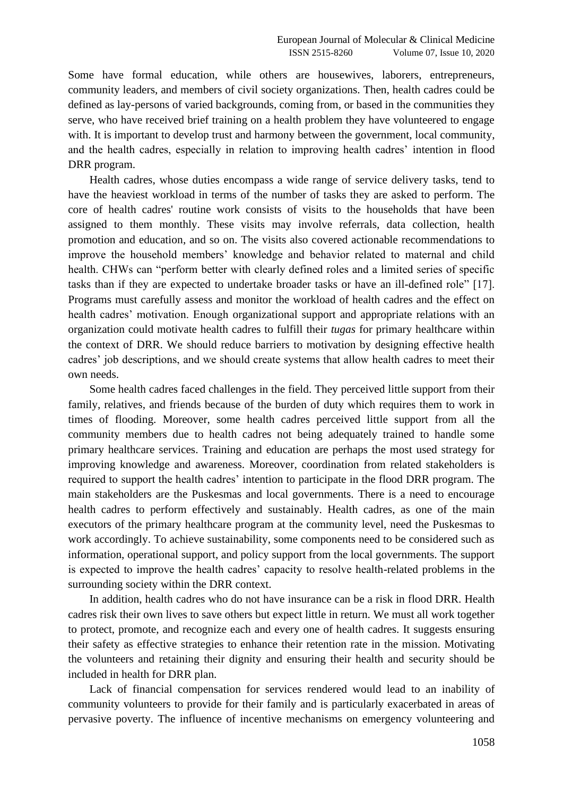Some have formal education, while others are housewives, laborers, entrepreneurs, community leaders, and members of civil society organizations. Then, health cadres could be defined as lay-persons of varied backgrounds, coming from, or based in the communities they serve, who have received brief training on a health problem they have volunteered to engage with. It is important to develop trust and harmony between the government, local community, and the health cadres, especially in relation to improving health cadres' intention in flood DRR program.

Health cadres, whose duties encompass a wide range of service delivery tasks, tend to have the heaviest workload in terms of the number of tasks they are asked to perform. The core of health cadres' routine work consists of visits to the households that have been assigned to them monthly. These visits may involve referrals, data collection, health promotion and education, and so on. The visits also covered actionable recommendations to improve the household members' knowledge and behavior related to maternal and child health. CHWs can "perform better with clearly defined roles and a limited series of specific tasks than if they are expected to undertake broader tasks or have an ill-defined role" [17]. Programs must carefully assess and monitor the workload of health cadres and the effect on health cadres' motivation. Enough organizational support and appropriate relations with an organization could motivate health cadres to fulfill their *tugas* for primary healthcare within the context of DRR. We should reduce barriers to motivation by designing effective health cadres' job descriptions, and we should create systems that allow health cadres to meet their own needs.

Some health cadres faced challenges in the field. They perceived little support from their family, relatives, and friends because of the burden of duty which requires them to work in times of flooding. Moreover, some health cadres perceived little support from all the community members due to health cadres not being adequately trained to handle some primary healthcare services. Training and education are perhaps the most used strategy for improving knowledge and awareness. Moreover, coordination from related stakeholders is required to support the health cadres' intention to participate in the flood DRR program. The main stakeholders are the Puskesmas and local governments. There is a need to encourage health cadres to perform effectively and sustainably. Health cadres, as one of the main executors of the primary healthcare program at the community level, need the Puskesmas to work accordingly. To achieve sustainability, some components need to be considered such as information, operational support, and policy support from the local governments. The support is expected to improve the health cadres' capacity to resolve health-related problems in the surrounding society within the DRR context.

In addition, health cadres who do not have insurance can be a risk in flood DRR. Health cadres risk their own lives to save others but expect little in return. We must all work together to protect, promote, and recognize each and every one of health cadres. It suggests ensuring their safety as effective strategies to enhance their retention rate in the mission. Motivating the volunteers and retaining their dignity and ensuring their health and security should be included in health for DRR plan.

Lack of financial compensation for services rendered would lead to an inability of community volunteers to provide for their family and is particularly exacerbated in areas of pervasive poverty. The influence of incentive mechanisms on emergency volunteering and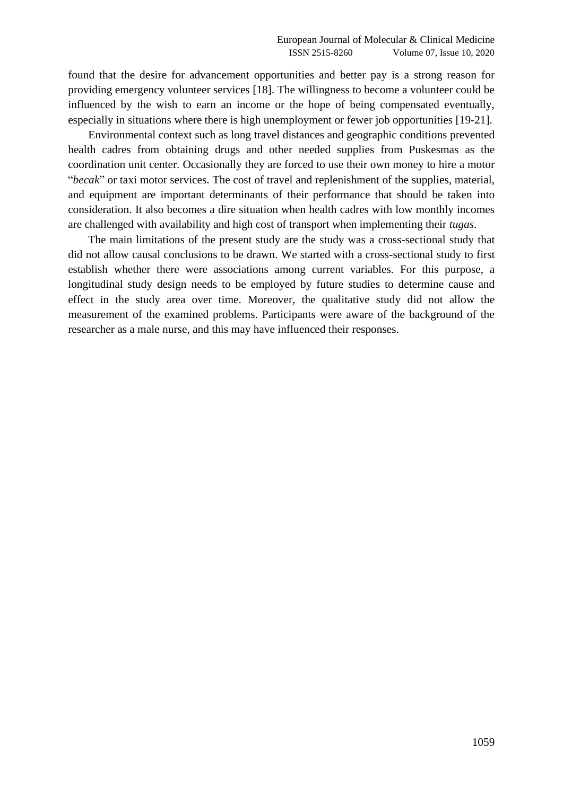found that the desire for advancement opportunities and better pay is a strong reason for providing emergency volunteer services [18]. The willingness to become a volunteer could be influenced by the wish to earn an income or the hope of being compensated eventually, especially in situations where there is high unemployment or fewer job opportunities [19-21].

Environmental context such as long travel distances and geographic conditions prevented health cadres from obtaining drugs and other needed supplies from Puskesmas as the coordination unit center. Occasionally they are forced to use their own money to hire a motor "*becak*" or taxi motor services. The cost of travel and replenishment of the supplies, material, and equipment are important determinants of their performance that should be taken into consideration. It also becomes a dire situation when health cadres with low monthly incomes are challenged with availability and high cost of transport when implementing their *tugas*.

The main limitations of the present study are the study was a cross-sectional study that did not allow causal conclusions to be drawn. We started with a cross-sectional study to first establish whether there were associations among current variables. For this purpose, a longitudinal study design needs to be employed by future studies to determine cause and effect in the study area over time. Moreover, the qualitative study did not allow the measurement of the examined problems. Participants were aware of the background of the researcher as a male nurse, and this may have influenced their responses.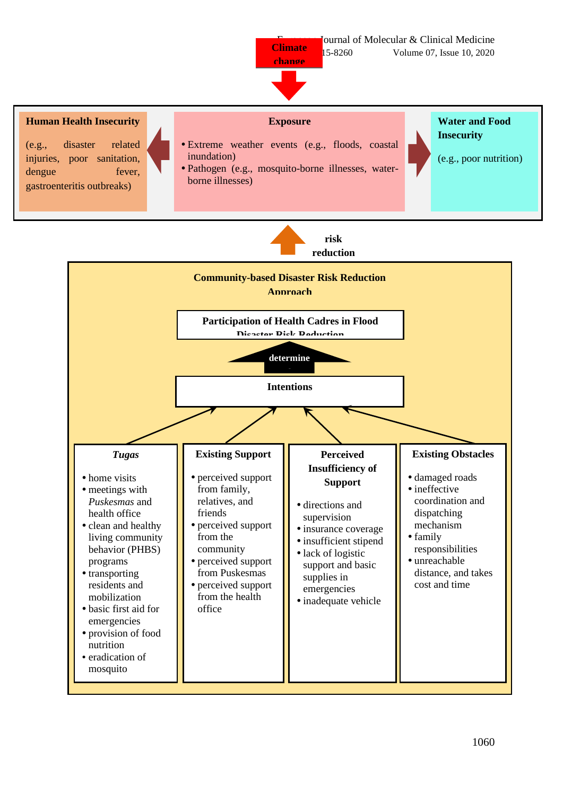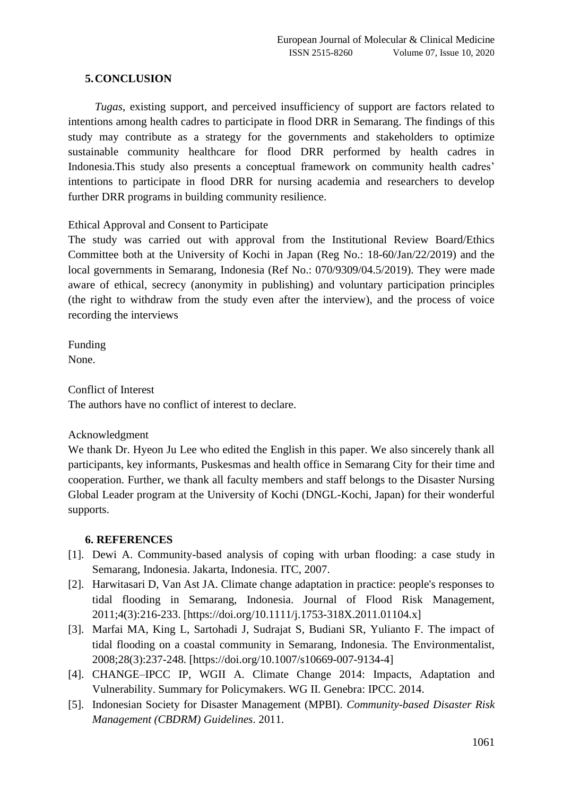# **5.CONCLUSION**

*Tugas*, existing support, and perceived insufficiency of support are factors related to intentions among health cadres to participate in flood DRR in Semarang. The findings of this study may contribute as a strategy for the governments and stakeholders to optimize sustainable community healthcare for flood DRR performed by health cadres in Indonesia.This study also presents a conceptual framework on community health cadres' intentions to participate in flood DRR for nursing academia and researchers to develop further DRR programs in building community resilience.

Ethical Approval and Consent to Participate

The study was carried out with approval from the Institutional Review Board/Ethics Committee both at the University of Kochi in Japan (Reg No.: 18-60/Jan/22/2019) and the local governments in Semarang, Indonesia (Ref No.: 070/9309/04.5/2019). They were made aware of ethical, secrecy (anonymity in publishing) and voluntary participation principles (the right to withdraw from the study even after the interview), and the process of voice recording the interviews

Funding None.

Conflict of Interest The authors have no conflict of interest to declare.

Acknowledgment

We thank Dr. Hyeon Ju Lee who edited the English in this paper. We also sincerely thank all participants, key informants, Puskesmas and health office in Semarang City for their time and cooperation. Further, we thank all faculty members and staff belongs to the Disaster Nursing Global Leader program at the University of Kochi (DNGL-Kochi, Japan) for their wonderful supports.

# **6. REFERENCES**

- [1]. Dewi A. Community-based analysis of coping with urban flooding: a case study in Semarang, Indonesia. Jakarta, Indonesia. ITC, 2007.
- [2]. Harwitasari D, Van Ast JA. Climate change adaptation in practice: people's responses to tidal flooding in Semarang, Indonesia. Journal of Flood Risk Management, 2011;4(3):216-233. [https://doi.org/10.1111/j.1753-318X.2011.01104.x]
- [3]. Marfai MA, King L, Sartohadi J, Sudrajat S, Budiani SR, Yulianto F. The impact of tidal flooding on a coastal community in Semarang, Indonesia. The Environmentalist, 2008;28(3):237-248. [https://doi.org/10.1007/s10669-007-9134-4]
- [4]. CHANGE–IPCC IP, WGII A. Climate Change 2014: Impacts, Adaptation and Vulnerability. Summary for Policymakers. WG II. Genebra: IPCC. 2014.
- [5]. Indonesian Society for Disaster Management (MPBI). *Community-based Disaster Risk Management (CBDRM) Guidelines*. 2011.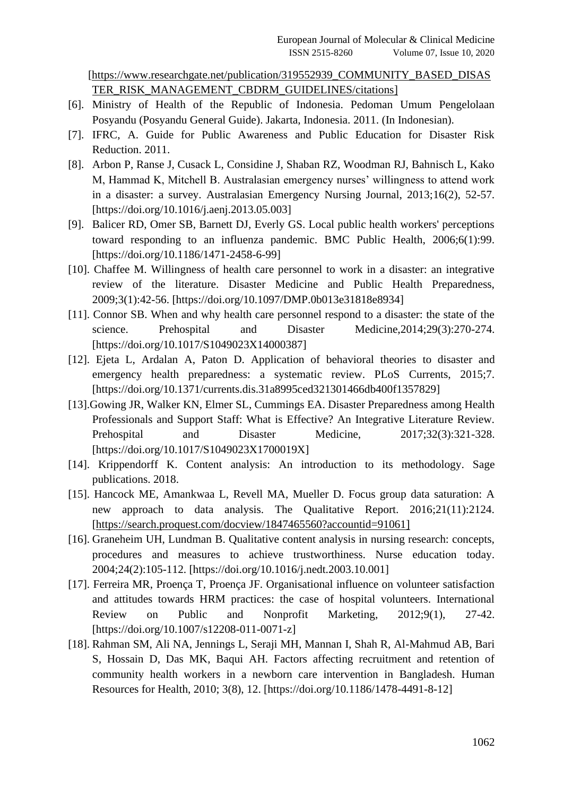[\[https://www.researchgate.net/publication/319552939\\_COMMUNITY\\_BASED\\_DISAS](https://www.researchgate.net/publication/319552939_COMMUNITY_BASED_DISASTER_RISK_MANAGEMENT_CBDRM_GUIDELINES/citations) [TER\\_RISK\\_MANAGEMENT\\_CBDRM\\_GUIDELINES/citations\]](https://www.researchgate.net/publication/319552939_COMMUNITY_BASED_DISASTER_RISK_MANAGEMENT_CBDRM_GUIDELINES/citations)

- [6]. Ministry of Health of the Republic of Indonesia. Pedoman Umum Pengelolaan Posyandu (Posyandu General Guide). Jakarta, Indonesia. 2011. (In Indonesian).
- [7]. IFRC, A. Guide for Public Awareness and Public Education for Disaster Risk Reduction. 2011.
- [8]. Arbon P, Ranse J, Cusack L, Considine J, Shaban RZ, Woodman RJ, Bahnisch L, Kako M, Hammad K, Mitchell B. Australasian emergency nurses' willingness to attend work in a disaster: a survey. Australasian Emergency Nursing Journal, 2013;16(2), 52-57. [https://doi.org/10.1016/j.aenj.2013.05.003]
- [9]. Balicer RD, Omer SB, Barnett DJ, Everly GS. Local public health workers' perceptions toward responding to an influenza pandemic. BMC Public Health, 2006;6(1):99. [https://doi.org/10.1186/1471-2458-6-99]
- [10]. Chaffee M. Willingness of health care personnel to work in a disaster: an integrative review of the literature. Disaster Medicine and Public Health Preparedness, 2009;3(1):42-56. [https://doi.org/10.1097/DMP.0b013e31818e8934]
- [11]. Connor SB. When and why health care personnel respond to a disaster: the state of the science. Prehospital and Disaster Medicine, 2014; 29(3): 270-274. [https://doi.org/10.1017/S1049023X14000387]
- [12]. Ejeta L, Ardalan A, Paton D. Application of behavioral theories to disaster and emergency health preparedness: a systematic review. PLoS Currents, 2015;7. [https://doi.org/10.1371/currents.dis.31a8995ced321301466db400f1357829]
- [13].Gowing JR, Walker KN, Elmer SL, Cummings EA. Disaster Preparedness among Health Professionals and Support Staff: What is Effective? An Integrative Literature Review. Prehospital and Disaster Medicine,  $2017;32(3):321-328$ . [https://doi.org/10.1017/S1049023X1700019X]
- [14]. Krippendorff K. Content analysis: An introduction to its methodology. Sage publications. 2018.
- [15]. Hancock ME, Amankwaa L, Revell MA, Mueller D. Focus group data saturation: A new approach to data analysis. The Qualitative Report. 2016;21(11):2124. [\[https://search.proquest.com/docview/1847465560?accountid=91061\]](https://search.proquest.com/docview/1847465560?accountid=91061)
- [16]. Graneheim UH, Lundman B. Qualitative content analysis in nursing research: concepts, procedures and measures to achieve trustworthiness. Nurse education today. 2004;24(2):105-112. [https://doi.org/10.1016/j.nedt.2003.10.001]
- [17]. Ferreira MR, Proença T, Proença JF. Organisational influence on volunteer satisfaction and attitudes towards HRM practices: the case of hospital volunteers. International Review on Public and Nonprofit Marketing, 2012;9(1), 27-42. [https://doi.org/10.1007/s12208-011-0071-z]
- [18]. Rahman SM, Ali NA, Jennings L, Seraji MH, Mannan I, Shah R, Al-Mahmud AB, Bari S, Hossain D, Das MK, Baqui AH. Factors affecting recruitment and retention of community health workers in a newborn care intervention in Bangladesh. Human Resources for Health, 2010; 3(8), 12. [https://doi.org/10.1186/1478-4491-8-12]